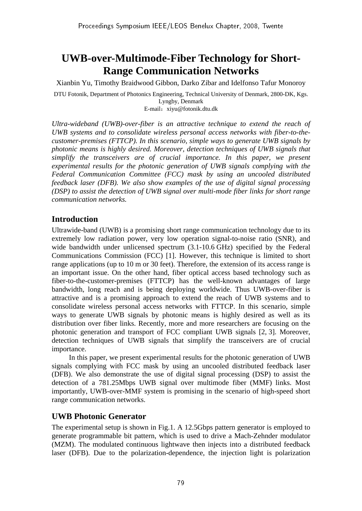# **UWB-over-Multimode-Fiber Technology for Short-Range Communication Networks**

Xianbin Yu, Timothy Braidwood Gibbon, Darko Zibar and Idelfonso Tafur Monoroy DTU Fotonik, Department of Photonics Engineering, Technical University of Denmark, 2800-DK, Kgs. Lyngby, Denmark E-mail: xiyu@fotonik.dtu.dk

*Ultra-wideband (UWB)-over-fiber is an attractive technique to extend the reach of UWB systems and to consolidate wireless personal access networks with fiber-to-thecustomer-premises (FTTCP). In this scenario, simple ways to generate UWB signals by photonic means is highly desired. Moreover, detection techniques of UWB signals that simplify the transceivers are of crucial importance. In this paper, we present experimental results for the photonic generation of UWB signals complying with the Federal Communication Committee (FCC) mask by using an uncooled distributed feedback laser (DFB). We also show examples of the use of digital signal processing (DSP) to assist the detection of UWB signal over multi-mode fiber links for short range communication networks.* 

# **Introduction**

Ultrawide-band (UWB) is a promising short range communication technology due to its extremely low radiation power, very low operation signal-to-noise ratio (SNR), and wide bandwidth under unlicensed spectrum  $(3.1\n-10.6 \text{ GHz})$  specified by the Federal Communications Commission (FCC) [1]. However, this technique is limited to short range applications (up to 10 m or 30 feet). Therefore, the extension of its access range is an important issue. On the other hand, fiber optical access based technology such as fiber-to-the-customer-premises (FTTCP) has the well-known advantages of large bandwidth, long reach and is being deploying worldwide. Thus UWB-over-fiber is attractive and is a promising approach to extend the reach of UWB systems and to consolidate wireless personal access networks with FTTCP. In this scenario, simple ways to generate UWB signals by photonic means is highly desired as well as its distribution over fiber links. Recently, more and more researchers are focusing on the photonic generation and transport of FCC compliant UWB signals [2, 3]. Moreover, detection techniques of UWB signals that simplify the transceivers are of crucial importance.

In this paper, we present experimental results for the photonic generation of UWB signals complying with FCC mask by using an uncooled distributed feedback laser (DFB). We also demonstrate the use of digital signal processing (DSP) to assist the detection of a 781.25Mbps UWB signal over multimode fiber (MMF) links. Most importantly, UWB-over-MMF system is promising in the scenario of high-speed short range communication networks.

# **UWB Photonic Generator**

The experimental setup is shown in Fig.1. A 12.5Gbps pattern generator is employed to generate programmable bit pattern, which is used to drive a Mach-Zehnder modulator (MZM). The modulated continuous lightwave then injects into a distributed feedback laser (DFB). Due to the polarization-dependence, the injection light is polarization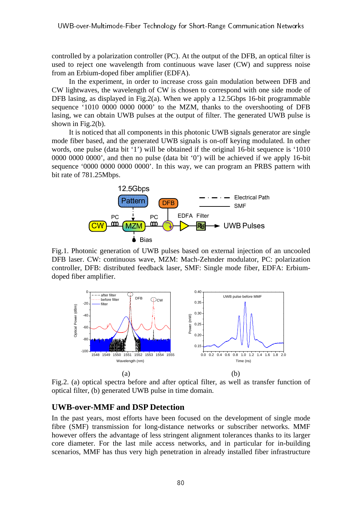controlled by a polarization controller (PC). At the output of the DFB, an optical filter is used to reject one wavelength from continuous wave laser (CW) and suppress noise from an Erbium-doped fiber amplifier (EDFA).

In the experiment, in order to increase cross gain modulation between DFB and CW lightwaves, the wavelength of CW is chosen to correspond with one side mode of DFB lasing, as displayed in Fig.2(a). When we apply a 12.5Gbps 16-bit programmable sequence '1010 0000 0000 0000' to the MZM, thanks to the overshooting of DFB lasing, we can obtain UWB pulses at the output of filter. The generated UWB pulse is shown in Fig.2(b).

It is noticed that all components in this photonic UWB signals generator are single mode fiber based, and the generated UWB signals is on-off keying modulated. In other words, one pulse (data bit '1') will be obtained if the original 16-bit sequence is '1010 0000 0000 0000', and then no pulse (data bit '0') will be achieved if we apply 16-bit sequence '0000 0000 0000 0000'. In this way, we can program an PRBS pattern with bit rate of 781.25Mbps.



Fig.1. Photonic generation of UWB pulses based on external injection of an uncooled DFB laser. CW: continuous wave, MZM: Mach-Zehnder modulator, PC: polarization controller, DFB: distributed feedback laser, SMF: Single mode fiber, EDFA: Erbiumdoped fiber amplifier.



Fig.2. (a) optical spectra before and after optical filter, as well as transfer function of optical filter, (b) generated UWB pulse in time domain.

## **UWB-over-MMF and DSP Detection**

In the past years, most efforts have been focused on the development of single mode fibre (SMF) transmission for long-distance networks or subscriber networks. MMF however offers the advantage of less stringent alignment tolerances thanks to its larger core diameter. For the last mile access networks, and in particular for in-building scenarios, MMF has thus very high penetration in already installed fiber infrastructure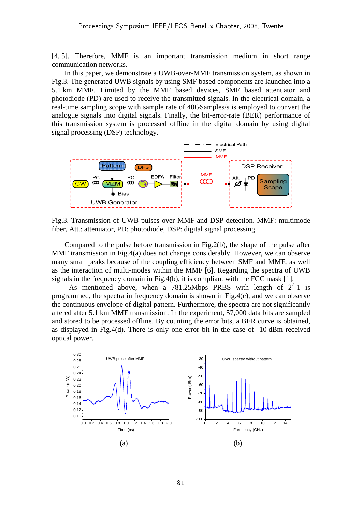[4, 5]. Therefore, MMF is an important transmission medium in short range communication networks.

In this paper, we demonstrate a UWB-over-MMF transmission system, as shown in Fig.3. The generated UWB signals by using SMF based components are launched into a 5.1 km MMF. Limited by the MMF based devices, SMF based attenuator and photodiode (PD) are used to receive the transmitted signals. In the electrical domain, a real-time sampling scope with sample rate of 40GSamples/s is employed to convert the analogue signals into digital signals. Finally, the bit-error-rate (BER) performance of this transmission system is processed offline in the digital domain by using digital signal processing (DSP) technology.



Fig.3. Transmission of UWB pulses over MMF and DSP detection. MMF: multimode fiber, Att.: attenuator, PD: photodiode, DSP: digital signal processing.

Compared to the pulse before transmission in Fig.2(b), the shape of the pulse after MMF transmission in Fig.4(a) does not change considerably. However, we can observe many small peaks because of the coupling efficiency between SMF and MMF, as well as the interaction of multi-modes within the MMF [6]. Regarding the spectra of UWB signals in the frequency domain in Fig.4(b), it is compliant with the FCC mask [1].

As mentioned above, when a  $781.25 \text{Mbps}$  PRBS with length of  $2^7$ -1 is programmed, the spectra in frequency domain is shown in Fig.4(c), and we can observe the continuous envelope of digital pattern. Furthermore, the spectra are not significantly altered after 5.1 km MMF transmission. In the experiment, 57,000 data bits are sampled and stored to be processed offline. By counting the error bits, a BER curve is obtained, as displayed in Fig.4(d). There is only one error bit in the case of -10 dBm received optical power.